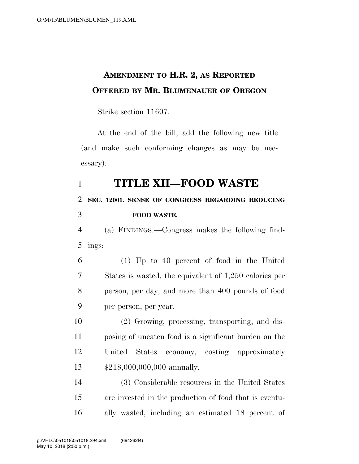## **AMENDMENT TO H.R. 2, AS REPORTED OFFERED BY MR. BLUMENAUER OF OREGON**

Strike section 11607.

At the end of the bill, add the following new title (and make such conforming changes as may be necessary):

### **TITLE XII—FOOD WASTE**

# **SEC. 12001. SENSE OF CONGRESS REGARDING REDUCING FOOD WASTE.**

 (a) FINDINGS.—Congress makes the following find-ings:

 (1) Up to 40 percent of food in the United States is wasted, the equivalent of 1,250 calories per person, per day, and more than 400 pounds of food per person, per year.

 (2) Growing, processing, transporting, and dis- posing of uneaten food is a significant burden on the United States economy, costing approximately \$218,000,000,000 annually.

 (3) Considerable resources in the United States are invested in the production of food that is eventu-ally wasted, including an estimated 18 percent of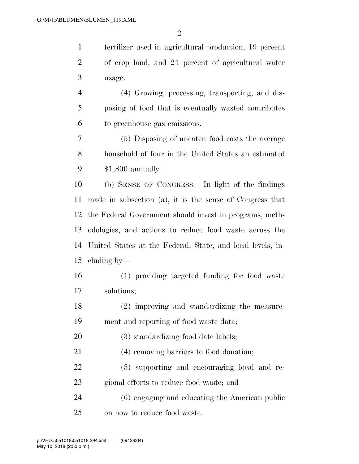fertilizer used in agricultural production, 19 percent of crop land, and 21 percent of agricultural water usage.

 (4) Growing, processing, transporting, and dis- posing of food that is eventually wasted contributes to greenhouse gas emissions.

 (5) Disposing of uneaten food costs the average household of four in the United States an estimated \$1,800 annually.

 (b) SENSE OF CONGRESS.—In light of the findings made in subsection (a), it is the sense of Congress that the Federal Government should invest in programs, meth- odologies, and actions to reduce food waste across the United States at the Federal, State, and local levels, in-cluding by—

 (1) providing targeted funding for food waste solutions;

 (2) improving and standardizing the measure-ment and reporting of food waste data;

20 (3) standardizing food date labels;

(4) removing barriers to food donation;

 (5) supporting and encouraging local and re-gional efforts to reduce food waste; and

 (6) engaging and educating the American public on how to reduce food waste.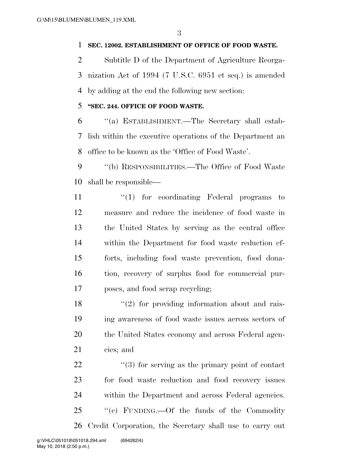#### **SEC. 12002. ESTABLISHMENT OF OFFICE OF FOOD WASTE.**

 Subtitle D of the Department of Agriculture Reorga- nization Act of 1994 (7 U.S.C. 6951 et seq.) is amended by adding at the end the following new section:

#### **''SEC. 244. OFFICE OF FOOD WASTE.**

 ''(a) ESTABLISHMENT.—The Secretary shall estab- lish within the executive operations of the Department an office to be known as the 'Office of Food Waste'.

9 "(b) RESPONSIBILITIES.—The Office of Food Waste shall be responsible—

11 ''(1) for coordinating Federal programs to measure and reduce the incidence of food waste in the United States by serving as the central office within the Department for food waste reduction ef- forts, including food waste prevention, food dona- tion, recovery of surplus food for commercial pur-poses, and food scrap recycling;

18 ''(2) for providing information about and rais- ing awareness of food waste issues across sectors of the United States economy and across Federal agen-cies; and

22 ''(3) for serving as the primary point of contact for food waste reduction and food recovery issues within the Department and across Federal agencies. ''(c) FUNDING.—Of the funds of the Commodity Credit Corporation, the Secretary shall use to carry out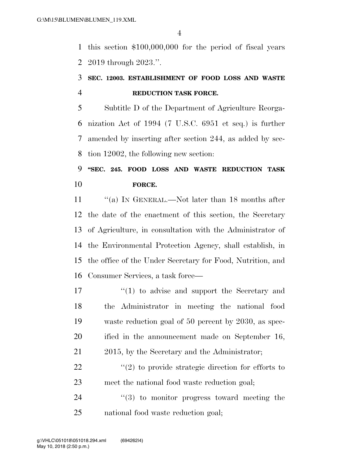this section \$100,000,000 for the period of fiscal years 2019 through 2023.''.

### **SEC. 12003. ESTABLISHMENT OF FOOD LOSS AND WASTE REDUCTION TASK FORCE.**

 Subtitle D of the Department of Agriculture Reorga- nization Act of 1994 (7 U.S.C. 6951 et seq.) is further amended by inserting after section 244, as added by sec-tion 12002, the following new section:

### **''SEC. 245. FOOD LOSS AND WASTE REDUCTION TASK FORCE.**

11 "(a) In GENERAL.—Not later than 18 months after the date of the enactment of this section, the Secretary of Agriculture, in consultation with the Administrator of the Environmental Protection Agency, shall establish, in the office of the Under Secretary for Food, Nutrition, and Consumer Services, a task force—

 $\frac{17}{2}$  (1) to advise and support the Secretary and the Administrator in meeting the national food waste reduction goal of 50 percent by 2030, as spec- ified in the announcement made on September 16, 21 2015, by the Secretary and the Administrator;

22  $\frac{1}{2}$   $\frac{1}{2}$  to provide strategic direction for efforts to meet the national food waste reduction goal;

  $(3)$  to monitor progress toward meeting the national food waste reduction goal;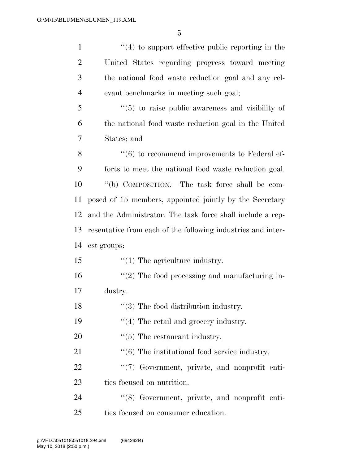| $\mathbf{1}$   | $\cdot$ (4) to support effective public reporting in the     |
|----------------|--------------------------------------------------------------|
| $\overline{2}$ | United States regarding progress toward meeting              |
| 3              | the national food waste reduction goal and any rel-          |
| $\overline{4}$ | evant benchmarks in meeting such goal;                       |
| 5              | $\cdot\cdot$ (5) to raise public awareness and visibility of |
| 6              | the national food waste reduction goal in the United         |
| 7              | States; and                                                  |
| 8              | $``(6)$ to recommend improvements to Federal ef-             |
| 9              | forts to meet the national food waste reduction goal.        |
| 10             | "(b) COMPOSITION.—The task force shall be com-               |
| 11             | posed of 15 members, appointed jointly by the Secretary      |
| 12             | and the Administrator. The task force shall include a rep-   |
| 13             | resentative from each of the following industries and inter- |
| 14             | est groups:                                                  |
| 15             | $\lq(1)$ The agriculture industry.                           |
| 16             | $\lq(2)$ The food processing and manufacturing in-           |
| 17             | dustry.                                                      |
| 18             | $\lq(3)$ The food distribution industry.                     |
| 19             | $\lq(4)$ The retail and grocery industry.                    |
| 20             | $\lq(5)$ The restaurant industry.                            |
| 21             | $\cdot\cdot$ (6) The institutional food service industry.    |
| 22             | "(7) Government, private, and nonprofit enti-                |
| 23             | ties focused on nutrition.                                   |
| 24             | "(8) Government, private, and nonprofit enti-                |
| 25             | ties focused on consumer education.                          |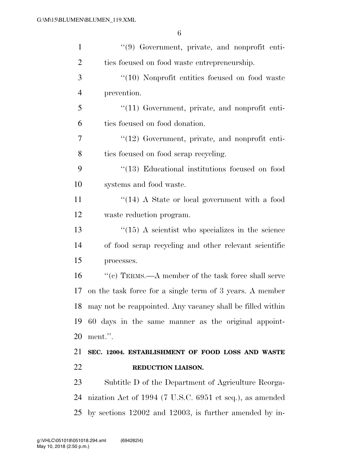| $\mathbf{1}$   | "(9) Government, private, and nonprofit enti-                 |
|----------------|---------------------------------------------------------------|
| $\overline{2}$ | ties focused on food waste entrepreneurship.                  |
| 3              | $\lq(10)$ Nonprofit entities focused on food waste            |
| $\overline{4}$ | prevention.                                                   |
| 5              | $\lq(11)$ Government, private, and nonprofit enti-            |
| 6              | ties focused on food donation.                                |
| 7              | $\lq(12)$ Government, private, and nonprofit enti-            |
| 8              | ties focused on food scrap recycling.                         |
| 9              | $\cdot$ (13) Educational institutions focused on food         |
| 10             | systems and food waste.                                       |
| 11             | $\lq(14)$ A State or local government with a food             |
| 12             | waste reduction program.                                      |
| 13             | $\cdot\cdot(15)$ A scientist who specializes in the science   |
| 14             | of food scrap recycling and other relevant scientific         |
| 15             | processes.                                                    |
| 16             | "(c) TERMS.—A member of the task force shall serve            |
| 17             | on the task force for a single term of 3 years. A member      |
|                | 18 may not be reappointed. Any vacancy shall be filled within |
| 19             | 60 days in the same manner as the original appoint-           |
| 20             | ment.".                                                       |
| 21             | SEC. 12004. ESTABLISHMENT OF FOOD LOSS AND WASTE              |
| 22             | REDUCTION LIAISON.                                            |
| 23             | Subtitle D of the Department of Agriculture Reorga-           |
| 24             | nization Act of 1994 (7 U.S.C. 6951 et seq.), as amended      |
| 25             | by sections 12002 and 12003, is further amended by in-        |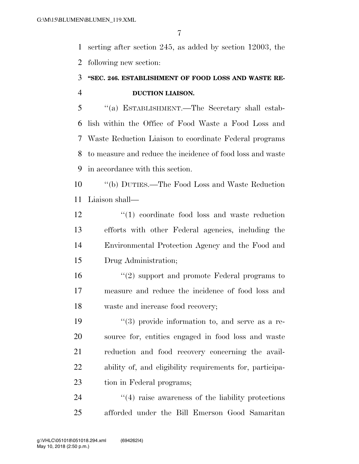serting after section 245, as added by section 12003, the following new section:

### **''SEC. 246. ESTABLISHMENT OF FOOD LOSS AND WASTE RE-DUCTION LIAISON.**

 ''(a) ESTABLISHMENT.—The Secretary shall estab- lish within the Office of Food Waste a Food Loss and Waste Reduction Liaison to coordinate Federal programs to measure and reduce the incidence of food loss and waste in accordance with this section.

 ''(b) DUTIES.—The Food Loss and Waste Reduction Liaison shall—

12 ''(1) coordinate food loss and waste reduction efforts with other Federal agencies, including the Environmental Protection Agency and the Food and Drug Administration;

 ''(2) support and promote Federal programs to measure and reduce the incidence of food loss and waste and increase food recovery;

 $(3)$  provide information to, and serve as a re- source for, entities engaged in food loss and waste reduction and food recovery concerning the avail- ability of, and eligibility requirements for, participa-23 tion in Federal programs;

24 ''(4) raise awareness of the liability protections afforded under the Bill Emerson Good Samaritan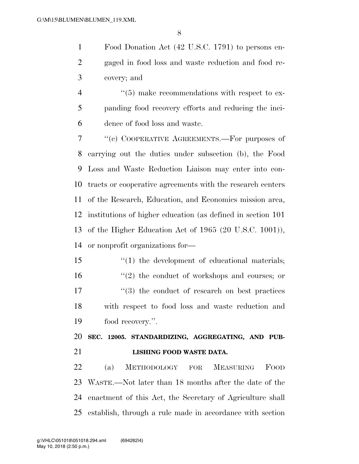Food Donation Act (42 U.S.C. 1791) to persons en- gaged in food loss and waste reduction and food re-covery; and

4  $(5)$  make recommendations with respect to ex- panding food recovery efforts and reducing the inci-dence of food loss and waste.

 ''(c) COOPERATIVE AGREEMENTS.—For purposes of carrying out the duties under subsection (b), the Food Loss and Waste Reduction Liaison may enter into con- tracts or cooperative agreements with the research centers of the Research, Education, and Economics mission area, institutions of higher education (as defined in section 101 of the Higher Education Act of 1965 (20 U.S.C. 1001)), or nonprofit organizations for—

15 ''(1) the development of educational materials; 16 ''(2) the conduct of workshops and courses; or 17  $\frac{17}{2}$   $\frac{17}{2}$  the conduct of research on best practices with respect to food loss and waste reduction and food recovery.''.

 **SEC. 12005. STANDARDIZING, AGGREGATING, AND PUB-LISHING FOOD WASTE DATA.** 

 (a) METHODOLOGY FOR MEASURING FOOD WASTE.—Not later than 18 months after the date of the enactment of this Act, the Secretary of Agriculture shall establish, through a rule made in accordance with section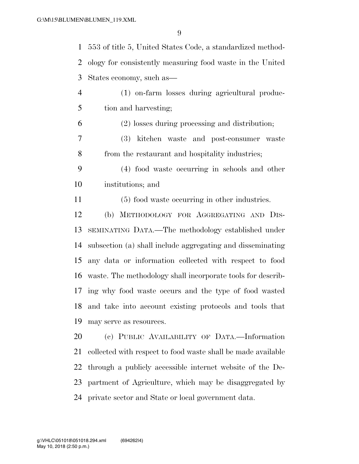553 of title 5, United States Code, a standardized method- ology for consistently measuring food waste in the United States economy, such as—

 (1) on-farm losses during agricultural produc-tion and harvesting;

(2) losses during processing and distribution;

 (3) kitchen waste and post-consumer waste from the restaurant and hospitality industries;

 (4) food waste occurring in schools and other institutions; and

(5) food waste occurring in other industries.

 (b) METHODOLOGY FOR AGGREGATING AND DIS- SEMINATING DATA.—The methodology established under subsection (a) shall include aggregating and disseminating any data or information collected with respect to food waste. The methodology shall incorporate tools for describ- ing why food waste occurs and the type of food wasted and take into account existing protocols and tools that may serve as resources.

 (c) PUBLIC AVAILABILITY OF DATA.—Information collected with respect to food waste shall be made available through a publicly accessible internet website of the De- partment of Agriculture, which may be disaggregated by private sector and State or local government data.